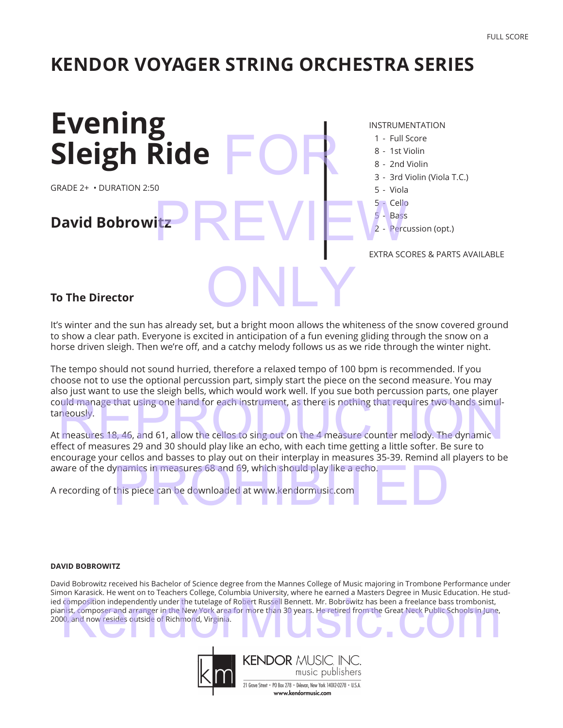## **KENDOR VOYAGER STRING ORCHESTRA SERIES**



It's winter and the sun has already set, but a bright moon allows the whiteness of the snow covered ground to show a clear path. Everyone is excited in anticipation of a fun evening gliding through the snow on a horse driven sleigh. Then we're off, and a catchy melody follows us as we ride through the winter night.

The tempo should not sound hurried, therefore a relaxed tempo of 100 bpm is recommended. If you choose not to use the optional percussion part, simply start the piece on the second measure. You may also just want to use the sleigh bells, which would work well. If you sue both percussion parts, one player could manage that using one hand for each instrument, as there is nothing that requires two hands simultaneously.

At measures 18, 46, and 61, allow the cellos to sing out on the 4 measure counter melody. The dynamic effect of measures 29 and 30 should play like an echo, with each time getting a little softer. Be sure to encourage your cellos and basses to play out on their interplay in measures 35-39. Remind all players to be aware of the dynamics in measures 68 and 69, which should play like a echo.<br>A recording of this piece can be downloaded at www.kendormusic.com build manage that using one hand for each instrument, as there is nothing that requires two hands simul-<br>ineously.<br>Fect of measures 29 and 30 should play like an echo, with each time getting a little softer. Be sure to

A recording of this piece can be downloaded at www.kendormusic.com

## **DAVID BOBROWITZ**

David Bobrowitz received his Bachelor of Science degree from the Mannes College of Music majoring in Trombone Performance under Simon Karasick. He went on to Teachers College, Columbia University, where he earned a Masters Degree in Music Education. He studied composition independently under the tutelage of Robert Russell Bennett. Mr. Bobrowitz has been a freelance bass trombonist, pianist, composer and arranger in the New York area for more than 30 years. He retired from the Great Neck Public Schools in June, 2000, and now resides outside of Richmond, Virginia. composition independently under the tutelage of Robert Russell Bennett. Mr. Bobrowitz has been a freelance bass trombonist, nist, composer and arranger in the New York area for more than 30 years. He retired from the Great

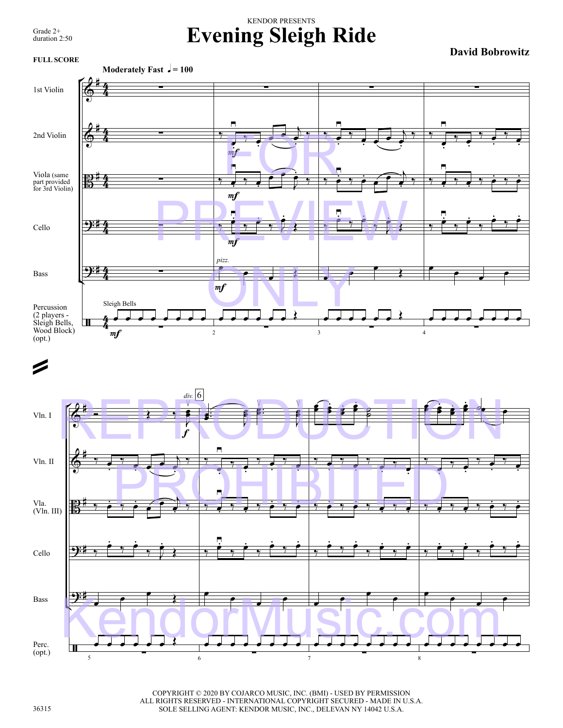Grade 2+ duration 2:50

## KENDOR PRESENTS

**Evening Sleigh Ride**

**David Bobrowitz**





COPYRIGHT © 2020 BY COJARCO MUSIC, INC. (BMI) - USED BY PERMISSION ALL RIGHTS RESERVED - INTERNATIONAL COPYRIGHT SECURED - MADE IN U.S.A. SOLE SELLING AGENT: KENDOR MUSIC, INC., DELEVAN NY 14042 U.S.A.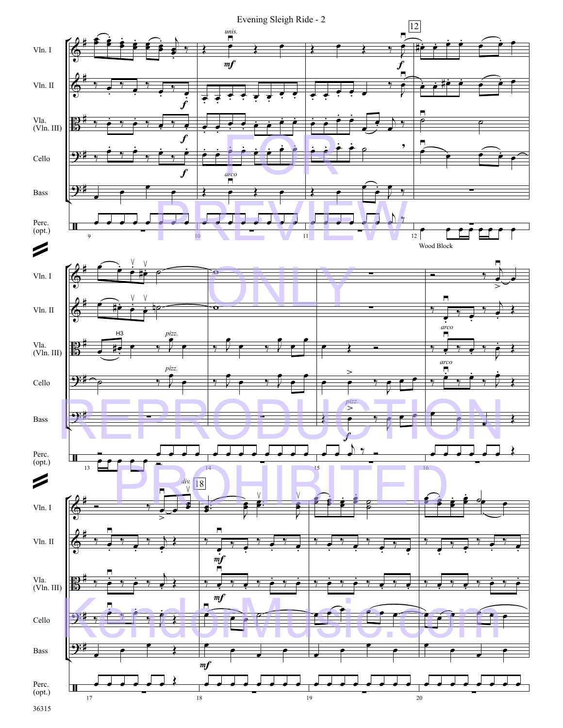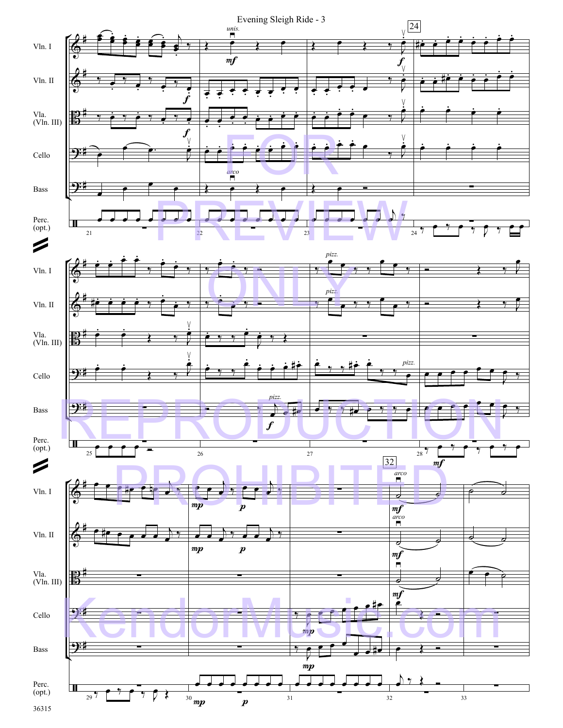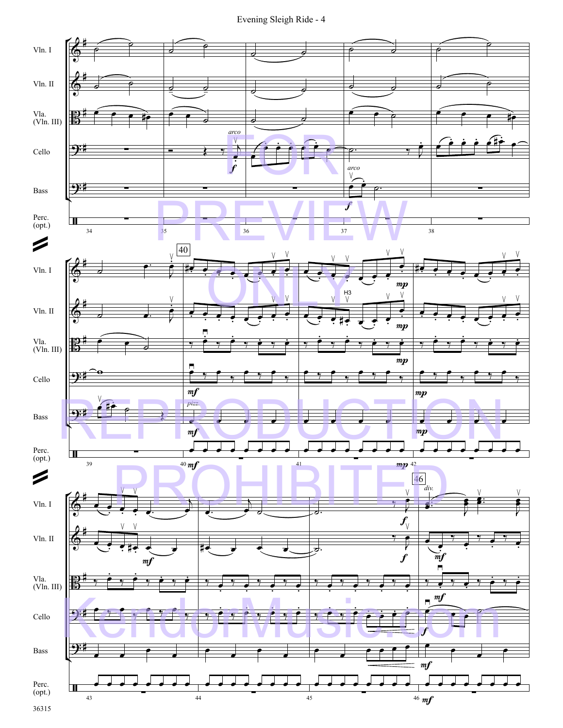Evening Sleigh Ride - 4



36315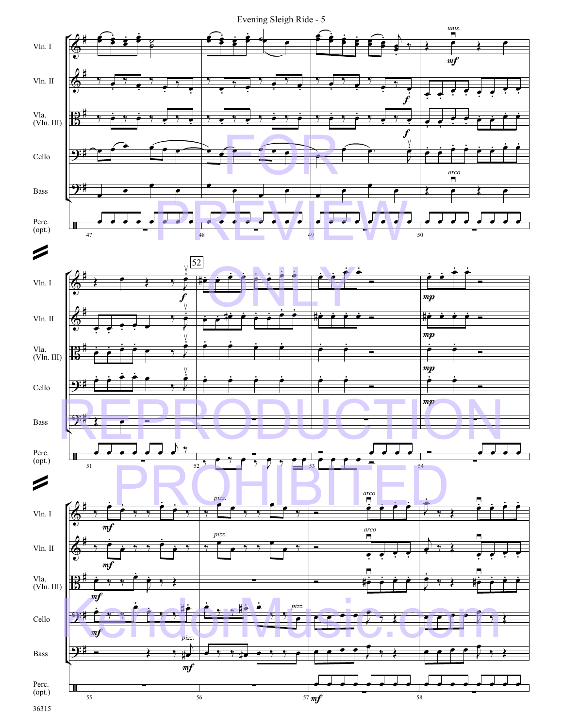Evening Sleigh Ride - 5



36315